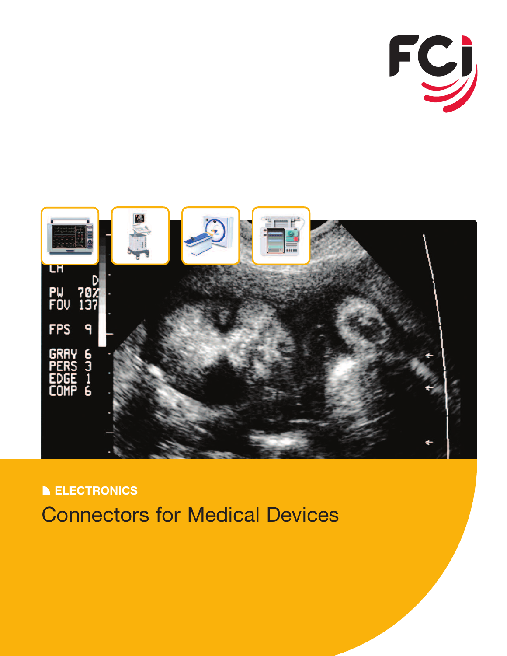



**ELECTRONICS** Connectors for Medical Devices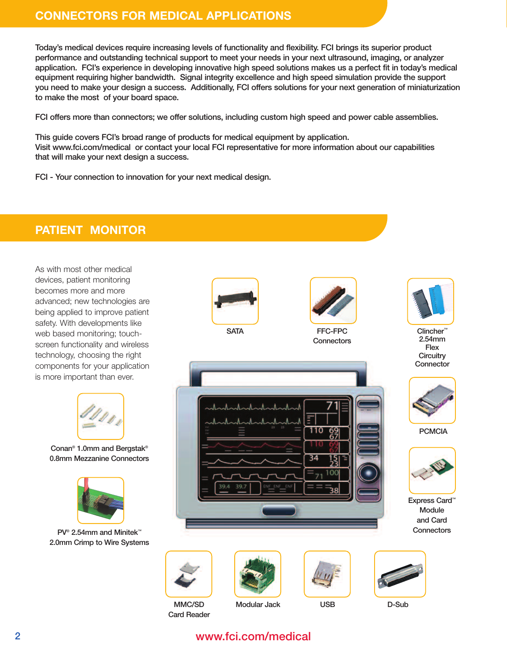## **CONNECTORS FOR MEDICAL APPLICATIONS**

Today's medical devices require increasing levels of functionality and flexibility. FCI brings its superior product performance and outstanding technical support to meet your needs in your next ultrasound, imaging, or analyzer application. FCI's experience in developing innovative high speed solutions makes us a perfect fit in today's medical equipment requiring higher bandwidth. Signal integrity excellence and high speed simulation provide the support you need to make your design a success. Additionally, FCI offers solutions for your next generation of miniaturization to make the most of your board space.

FCI offers more than connectors; we offer solutions, including custom high speed and power cable assemblies.

This guide covers FCI's broad range of products for medical equipment by application. Visit www.fci.com/medical or contact your local FCI representative for more information about our capabilities that will make your next design a success.

FCI - Your connection to innovation for your next medical design.

## **PATIENT MONITOR**

As with most other medical devices, patient monitoring becomes more and more advanced; new technologies are being applied to improve patient safety. With developments like web based monitoring; touchscreen functionality and wireless technology, choosing the right components for your application is more important than ever.



Conan® 1.0mm and Bergstak® 0.8mm Mezzanine Connectors



PV<sup>®</sup> 2.54mm and Minitek™ 2.0mm Crimp to Wire Systems





MMC/SD Card Reader







Clincher™ 2.54mm Flex **Circuitry Connector** 



**PCMCIA** 



Express Card™ Module and Card **Connectors** 

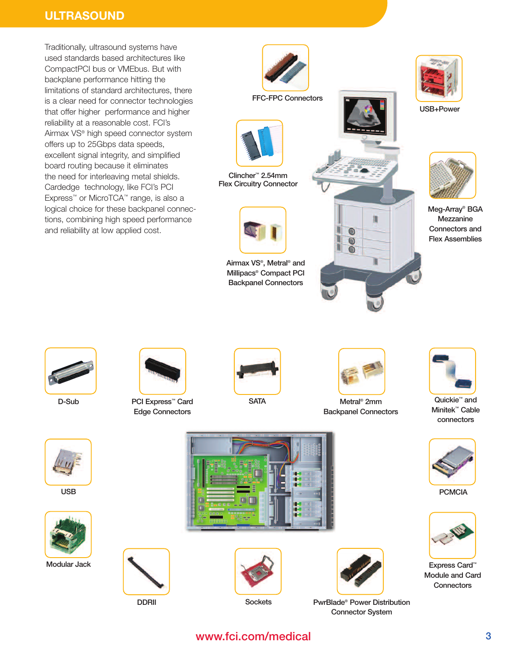# **ULTRASOUND**

Traditionally, ultrasound systems have used standards based architectures like CompactPCI bus or VMEbus. But with backplane performance hitting the limitations of standard architectures, there is a clear need for connector technologies that offer higher performance and higher reliability at a reasonable cost. FCI's Airmax VS® high speed connector system offers up to 25Gbps data speeds, excellent signal integrity, and simplified board routing because it eliminates the need for interleaving metal shields. Cardedge technology, like FCI's PCI Express™ or MicroTCA™ range, is also a logical choice for these backpanel connections, combining high speed performance and reliability at low applied cost.







Edge Connectors

DDRII



PCMCIA



Express Card™ Module and Card **Connectors** 



USB



Modular Jack







Sockets PwrBlade® Power Distribution Connector System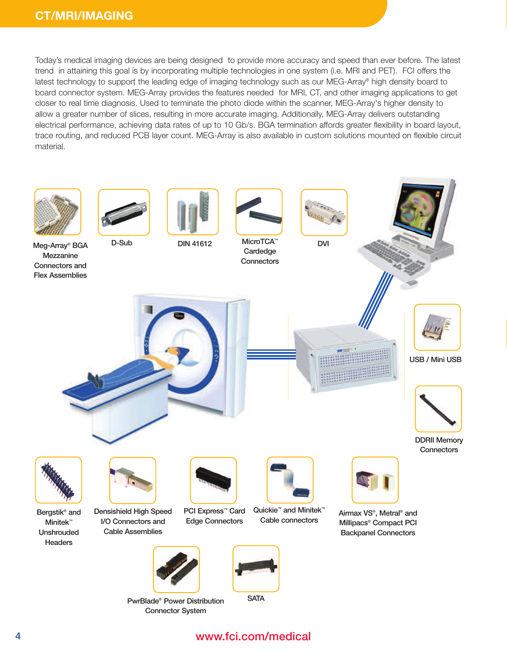Today's medical imaging devices are being designed to provide more accuracy and speed than ever before. The latest trend in attaining this goal is by incorporating multiple technologies in one system (i.e. MRI and PET). FCI offers the latest technology to support the leading edge of imaging technology such as our MEG-Array® high density board to board connector system. MEG-Array provides the features needed for MRI, CT, and other imaging applications to get closer to real time diagnosis. Used to terminate the photo diode within the scanner, MEG-Array's higher density to allow a greater number of slices, resulting in more accurate imaging. Additionally, MEG-Array delivers outstanding electrical performance, achieving data rates of up to 10 Gb/s. BGA termination affords greater flexibility in board layout, trace routing, and reduced PCB layer count. MEG-Array is also available in custom solutions mounted on flexible circuit material.

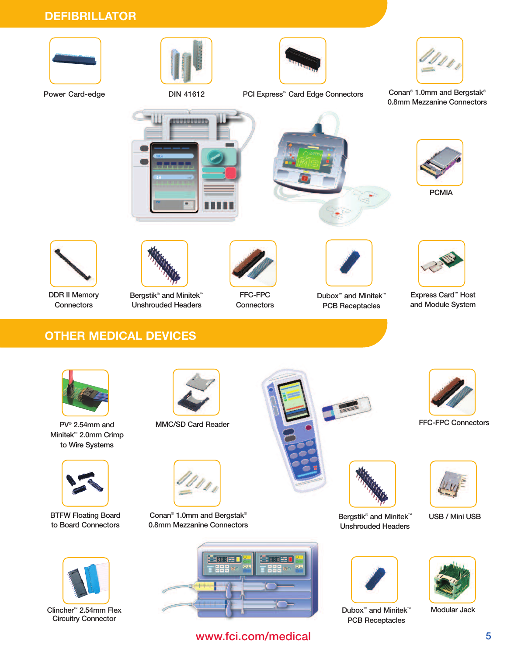# **DEFIBRILLATOR**







Power Card-edge DIN 41612

PCI Express™ Card Edge Connectors Conan® 1.0mm and Bergstak®

0.8mm Mezzanine Connectors









PCMIA

Express Card™ Host and Module System



DDR II Memory **Connectors** 



Bergstik<sup>®</sup> and Minitek<sup>™</sup> Unshrouded Headers



FFC-FPC **Connectors** 



Dubox™ and Minitek™ PCB Receptacles

# **OTHER MEDICAL DEVICES**



PV® 2.54mm and Minitek™ 2.0mm Crimp to Wire Systems



BTFW Floating Board to Board Connectors



Clincher™ 2.54mm Flex Circuitry Connector



MMC/SD Card Reader



Conan® 1.0mm and Bergstak® 0.8mm Mezzanine Connectors



www.fci.com/medical





Bergstik<sup>®</sup> and Minitek<sup>™</sup> Unshrouded Headers



Dubox™ and Minitek™ PCB Receptacles



USB / Mini USB



Modular Jack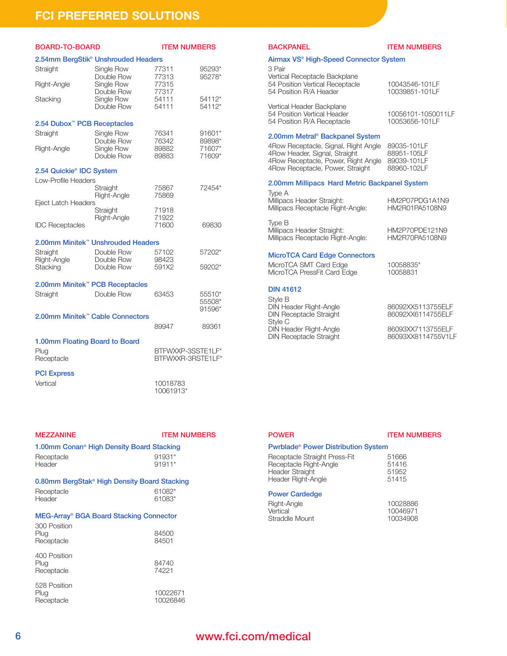# **FCI PREFERRED SOLUTIONS**

| BOARD-TO-BOARD                              |                                                 | <b>ITEM NUMBERS</b>                    |                            |
|---------------------------------------------|-------------------------------------------------|----------------------------------------|----------------------------|
|                                             | 2.54mm BergStik <sup>®</sup> Unshrouded Headers |                                        |                            |
| Straight                                    | Single Row<br>Double Row                        | 77311<br>77313                         | 95293*<br>95278*           |
| Right-Angle                                 | Single Row<br>Double Row                        | 77315<br>77317                         |                            |
| Stacking                                    | Single Row<br>Double Row                        | 54111<br>54111                         | 54112*<br>54112*           |
| 2.54 Dubox <sup>™</sup> PCB Receptacles     |                                                 |                                        |                            |
| Straight                                    | Single Row<br>Double Row                        | 76341<br>76342                         | 91601*<br>89898*           |
| Right-Angle                                 | Single Row<br>Double Row                        | 89882<br>89883                         | 71607*<br>71609*           |
| 2.54 Quickie <sup>®</sup> IDC System        |                                                 |                                        |                            |
| Low-Profile Headers                         |                                                 |                                        |                            |
|                                             | Straight<br>Right-Angle                         | 75867<br>75869                         | 72454*                     |
| <b>Eject Latch Headers</b>                  | Straight                                        | 71918                                  |                            |
| <b>IDC Receptacles</b>                      | Right-Angle                                     | 71922<br>71600                         | 69830                      |
|                                             | 2.00mm Minitek™ Unshrouded Headers              |                                        |                            |
| Straight                                    | Double Row                                      | 57102                                  | 57202*                     |
| Right-Angle<br>Stacking                     | Double Row<br>Double Row                        | 98423<br>591X2                         | 59202*                     |
| 2.00mm Minitek <sup>™</sup> PCB Receptacles |                                                 |                                        |                            |
| Straight                                    | Double Row                                      | 63453                                  | 55510*<br>55508*<br>91596* |
| 2.00mm Minitek™ Cable Connectors            |                                                 |                                        |                            |
|                                             |                                                 | 89947                                  | 89361                      |
| 1.00mm Floating Board to Board              |                                                 |                                        |                            |
| Plug<br>Receptacle                          |                                                 | BTFWXXP-3SSTE1LF*<br>BTFWXXR-3RSTE1LF* |                            |
| <b>PCI Express</b>                          |                                                 |                                        |                            |
| Vertical                                    |                                                 | 10018783<br>10061913*                  |                            |

| <b>MEZZANINE</b>                                                              | <b>ITEM NUMBERS</b>  |
|-------------------------------------------------------------------------------|----------------------|
| 1.00mm Conan <sup>®</sup> High Density Board Stacking<br>Receptacle<br>Header | 91931*<br>91911*     |
| 0.80mm BergStak® High Density Board Stacking<br>Receptacle<br>Header          | 61082*<br>61083*     |
| MEG-Array® BGA Board Stacking Connector<br>300 Position<br>Plug<br>Receptacle | 84500<br>84501       |
| 400 Position<br>Plug<br>Receptacle                                            | 84740<br>74221       |
| 528 Position<br>Plug<br>Receptacle                                            | 10022671<br>10026846 |

### BACKPANEL **ITEM NUMBERS**

### Airmax VS® High-Speed Connector System

| 3 Pair<br>Vertical Receptacle Backplane<br>54 Position Vertical Receptacle<br>54 Position R/A Header | 10043546-101LF<br>10039851-101LF     |
|------------------------------------------------------------------------------------------------------|--------------------------------------|
| Vertical Header Backplane<br>54 Position Vertical Header<br>54 Position R/A Receptacle               | 10056101-1050011LF<br>10053656-101LF |
| 0.00mm Metrol® Beoknapel Custom                                                                      |                                      |

## 2.00mm Metral® Backpanel System

| 4Row Receptacle, Signal, Right Angle | 89035-101LF |
|--------------------------------------|-------------|
| 4Row Header, Signal, Straight        | 88951-105LF |
| 4Row Receptacle, Power, Right Angle  | 89039-101LF |
| 4Row Receptacle, Power, Straight     | 88960-102LF |

#### 2.00mm Millipacs Hard Metric Backpanel System

Type A Millipacs Header Straight: HM2P07PDG1A1N9<br>Millipacs Receptacle Right-Angle: HM2R01PA5108N9 Millipacs Receptacle Right-Angle:

Type B Millipacs Header Straight: <br>Millipacs Receptacle Right-Angle: HM2R70PA5108N9 Millipacs Receptacle Right-Angle:

## MicroTCA Card Edge Connectors

MicroTCA SMT Card Edge 10058835\*<br>MicroTCA PressFit Card Edge 10058831 MicroTCA PressFit Card Edge

#### DIN 41612

Style B DIN Header Right-Angle 86092XX5113755ELF DIN Receptacle Straight 86092XX6114755ELF Style C DIN Header Right-Angle 86093XX7113755ELF<br>DIN Receptacle Straight 86093XX8114755V1LF DIN Receptacle Straight

### POWER ITEM NUMBERS

## Pwrblade® Power Distribution System

| 51666 |
|-------|
| 51416 |
| 51952 |
| 51415 |
|       |

### Power Cardedge

| Right-Angle    | 10028886 |
|----------------|----------|
| Vertical       | 10046971 |
| Straddle Mount | 10034908 |
|                |          |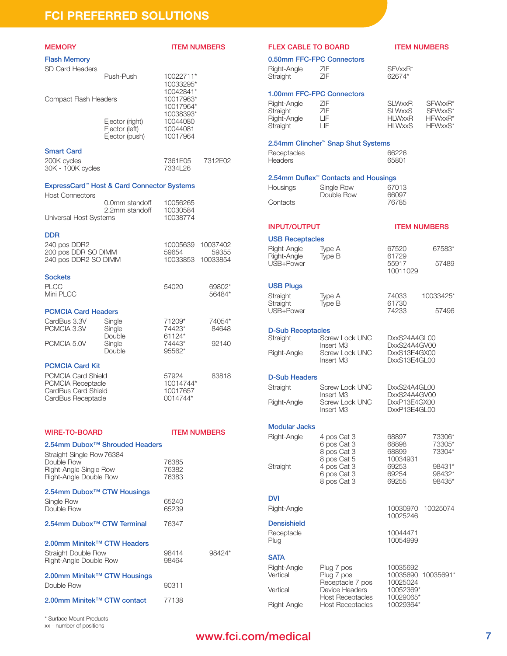## **FCI PREFERRED SOLUTIONS**

| <b>MEMORY</b>                                                                                                  |                                                        | <b>ITEM NUMBERS</b>                            |                               |
|----------------------------------------------------------------------------------------------------------------|--------------------------------------------------------|------------------------------------------------|-------------------------------|
| <b>Flash Memory</b>                                                                                            |                                                        |                                                |                               |
| SD Card Headers                                                                                                | Push-Push                                              | 10022711*<br>10033295*                         |                               |
| Compact Flash Headers                                                                                          |                                                        | 10042841*<br>10017963*<br>10017964*            |                               |
|                                                                                                                | Ejector (right)<br>Ejector (left)<br>Ejector (push)    | 10038393*<br>10044080<br>10044081<br>10017964  |                               |
| <b>Smart Card</b><br>200K cycles<br>30K - 100K cycles                                                          |                                                        | 7361E05<br>7334L26                             | 7312E02                       |
| <b>Host Connectors</b>                                                                                         | ExpressCard <sup>®</sup> Host & Card Connector Systems |                                                |                               |
| Universal Host Systems                                                                                         | 0.0mm standoff<br>2.2mm standoff                       | 10056265<br>10030584<br>10038774               |                               |
| <b>DDR</b><br>240 pos DDR2<br>200 pos DDR SO DIMM<br>240 pos DDR2 SO DIMM                                      |                                                        | 10005639<br>59654<br>10033853                  | 10037402<br>59355<br>10033854 |
| <b>Sockets</b><br><b>PLCC</b><br>Mini PLCC                                                                     |                                                        | 54020                                          | 69802*<br>56484*              |
| <b>PCMCIA Card Headers</b><br>CardBus 3.3V<br>PCMCIA 3.3V<br>PCMCIA 5.0V                                       | Single<br>Single<br>Double<br>Single<br>Double         | 71209*<br>74423*<br>61124*<br>74443*<br>95562* | 74054*<br>84648<br>92140      |
| <b>PCMCIA Card Kit</b><br>PCMCIA Card Shield<br>PCMCIA Receptacle<br>CardBus Card Shield<br>CardBus Receptacle |                                                        | 57924<br>10014744*<br>10017657<br>0014744*     | 83818                         |
| <b>WIRE-TO-BOARD</b>                                                                                           |                                                        | <b>ITEM NUMBERS</b>                            |                               |
| Straight Single Row 76384<br>Double Row                                                                        | 2.54mm Dubox <sup>™</sup> Shrouded Headers             | 76385                                          |                               |
| Right-Angle Single Row<br>Right-Angle Double Row                                                               |                                                        | 76382<br>76383                                 |                               |
| 2.54mm Dubox <sup>™</sup> CTW Housings<br>Single Row<br>Double Row                                             |                                                        | 65240<br>65239                                 |                               |
| 2.54mm Dubox <sup>™</sup> CTW Terminal                                                                         |                                                        | 76347                                          |                               |
| 2.00mm Minitek™ CTW Headers<br>Straight Double Row<br>Right-Angle Double Row                                   |                                                        | 98414<br>98464                                 | 98424*                        |
| 2.00mm Minitek <sup>™</sup> CTW Housings<br>Double Row                                                         |                                                        | 90311                                          |                               |
| 2.00mm Minitek™ CTW contact                                                                                    |                                                        | 77138                                          |                               |

## FLEX CABLE TO BOARD **ITEM NUMBERS**

| 0.50mm FFC-FPC Connectors |            |                   |  |  |
|---------------------------|------------|-------------------|--|--|
| Right-Angle<br>Straight   | 7IF<br>7IF | SFVxxR*<br>62674* |  |  |
| 1.00mm FFC-FPC Connectors |            |                   |  |  |

| Right-Angle | ZIF. | <b>SLWxxR</b> | SFWxxR* |
|-------------|------|---------------|---------|
| Straight    | ZIF  | SLWxxS        | SFWxxS* |
| Right-Angle | LIE. | HI WxxR       | HFWxxR* |
| Straight    | LIE. | <b>HLWxxS</b> | HFWxxS* |
|             |      |               |         |

### 2.54mm Clincher™ Snap Shut Systems

#### Receptacles 66226<br>
Headers 65801 Headers

### 2.54mm Duflex™ Contacts and Housings

| Housings | Single Row | 67013 |
|----------|------------|-------|
|          | Double Row | 66097 |
| Contacts |            | 76785 |

### INPUT/OUTPUT ITEM NUMBERS

## USB Receptacles

| <b>USD NECEPIACIES</b> |        |          |        |
|------------------------|--------|----------|--------|
| Right-Angle            | Type A | 67520    | 67583* |
| Right-Angle            | Type B | 61729    |        |
| USB+Power              |        | 55917    | 57489  |
|                        |        | 10011029 |        |

## USB Plugs

| Straight  | Type A | 74033 | 10033425* |
|-----------|--------|-------|-----------|
| Straight  | Type B | 61730 |           |
| USB+Power |        | 74233 | 57496     |

| Straight  | Ivpe B | 61730 |       |
|-----------|--------|-------|-------|
| USB+Power |        | 74233 | 57496 |

| <b>D-Sub Receptacles</b> |                       |              |
|--------------------------|-----------------------|--------------|
| Straight                 | Screw Lock UNC        | DxxS24A4GL00 |
|                          | Insert M <sub>3</sub> | DxxS24A4GV00 |
| Right-Angle              | Screw Lock UNC        | DxxS13E4GX00 |
|                          | Insert M <sub>3</sub> | DxxS13E4GL00 |

#### D-Sub Headers

| Straight    | Screw Lock UNC                          | DxxS24A4GL00                 |
|-------------|-----------------------------------------|------------------------------|
| Right-Angle | Insert M <sub>3</sub><br>Screw Lock UNC | DxxS24A4GV00<br>DxxP13E4GX00 |
|             | Insert M <sub>3</sub>                   | DxxP13E4GL00                 |

## Modular Jacks

| Right-Angle | 4 pos Cat 3 | 68897    | 73306* |
|-------------|-------------|----------|--------|
|             | 6 pos Cat 3 | 68898    | 73305* |
|             | 8 pos Cat 3 | 68899    | 73304* |
|             | 8 pos Cat 5 | 10034931 |        |
| Straight    | 4 pos Cat 3 | 69253    | 98431* |
|             | 6 pos Cat 3 | 69254    | 98432* |
|             | 8 pos Cat 3 | 69255    | 98435* |

## DVI

Right-Angle 10030970 10025074

## **Densishield**

Receptacle 10044471<br>Plug 10054999

## **SATA**

Right-Angle Plug 7 pos 10035692<br>Vertical Plug 7 pos 10035690 Vertical Device Headers 10052369\*<br>
Host Receptacles 10029065\* Right-Angle Host Receptacles

10025246

10054999

10035690 10035691\*<br>10025024 Receptacle 7 pos 10025024<br>Device Headers 10052369\* Host Receptacles 10029065\*<br>Host Receptacles 10029364\*

\* Surface Mount Products xx - number of positions